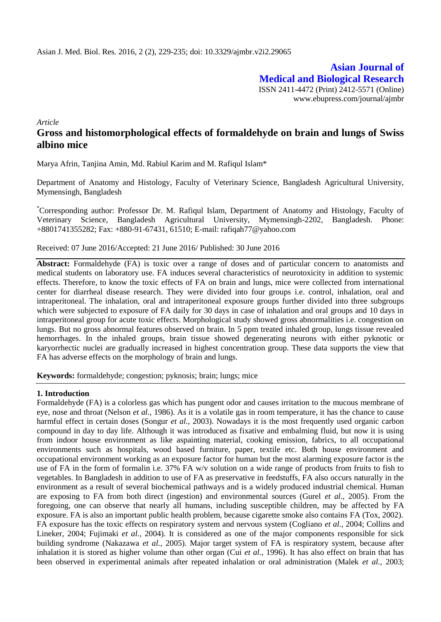**Asian Journal of Medical and Biological Research** ISSN 2411-4472 (Print) 2412-5571 (Online) www.ebupress.com/journal/ajmbr

*Article*

# **Gross and histomorphological effects of formaldehyde on brain and lungs of Swiss albino mice**

Marya Afrin, Tanjina Amin, Md. Rabiul Karim and M. Rafiqul Islam\*

Department of Anatomy and Histology, Faculty of Veterinary Science, Bangladesh Agricultural University, Mymensingh, Bangladesh

\*Corresponding author: Professor Dr. M. Rafiqul Islam, Department of Anatomy and Histology, Faculty of Veterinary Science, Bangladesh Agricultural University, Mymensingh-2202, Bangladesh. Phone: +8801741355282; Fax: +880-91-67431, 61510; E-mail: [rafiqah77@yahoo.com](mailto:rafiqah77@yahoo.com)

## Received: 07 June 2016/Accepted: 21 June 2016/ Published: 30 June 2016

**Abstract:** Formaldehyde (FA) is toxic over a range of doses and of particular concern to anatomists and medical students on laboratory use. FA induces several characteristics of neurotoxicity in addition to systemic effects. Therefore, to know the toxic effects of FA on brain and lungs, mice were collected from international center for diarrheal disease research. They were divided into four groups i.e. control, inhalation, oral and intraperitoneal. The inhalation, oral and intraperitoneal exposure groups further divided into three subgroups which were subjected to exposure of FA daily for 30 days in case of inhalation and oral groups and 10 days in intraperitoneal group for acute toxic effects. Morphological study showed gross abnormalities i.e. congestion on lungs. But no gross abnormal features observed on brain. In 5 ppm treated inhaled group, lungs tissue revealed hemorrhages. In the inhaled groups, brain tissue showed degenerating neurons with either pyknotic or karyorrhectic nuclei are gradually increased in highest concentration group. These data supports the view that FA has adverse effects on the morphology of brain and lungs.

**Keywords:** formaldehyde; congestion; pyknosis; brain; lungs; mice

## **1. Introduction**

Formaldehyde (FA) is a colorless gas which has pungent odor and causes irritation to the mucous membrane of eye, nose and throat (Nelson *et al.*, 1986). As it is a volatile gas in room temperature, it has the chance to cause harmful effect in certain doses (Songur *et al.*, 2003). Nowadays it is the most frequently used organic carbon compound in day to day life. Although it was introduced as fixative and embalming fluid, but now it is using from indoor house environment as like aspainting material, cooking emission, fabrics, to all occupational environments such as hospitals, wood based furniture, paper, textile etc. Both house environment and occupational environment working as an exposure factor for human but the most alarming exposure factor is the use of FA in the form of formalin i.e. 37% FA w/v solution on a wide range of products from fruits to fish to vegetables. In Bangladesh in addition to use of FA as preservative in feedstuffs, FA also occurs naturally in the environment as a result of several biochemical pathways and is a widely produced industrial chemical. Human are exposing to FA from both direct (ingestion) and environmental sources (Gurel *et al.*, 2005). From the foregoing, one can observe that nearly all humans, including susceptible children, may be affected by FA exposure. FA is also an important public health problem, because cigarette smoke also contains FA (Tox, 2002). FA exposure has the toxic effects on respiratory system and nervous system (Cogliano *et al.*, 2004; Collins and Lineker, 2004; Fujimaki *et al.*, 2004). It is considered as one of the major components responsible for sick building syndrome (Nakazawa *et al.*, 2005). Major target system of FA is respiratory system, because after inhalation it is stored as higher volume than other organ (Cui *et al.*, 1996). It has also effect on brain that has been observed in experimental animals after repeated inhalation or oral administration (Malek *et al.*, 2003;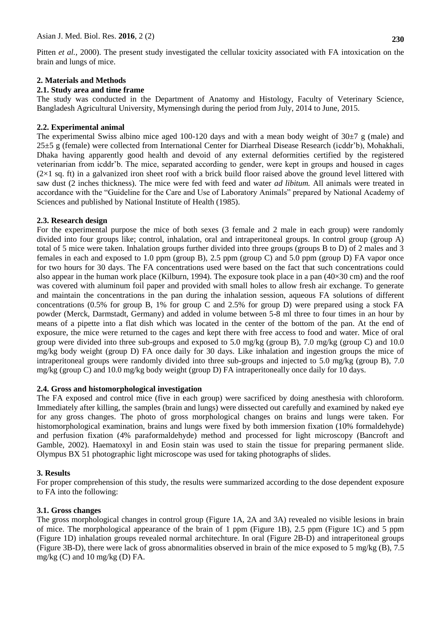Pitten *et al.*, 2000). The present study investigated the cellular toxicity associated with FA intoxication on the brain and lungs of mice.

# **2. Materials and Methods**

# **2.1. Study area and time frame**

The study was conducted in the Department of Anatomy and Histology, Faculty of Veterinary Science, Bangladesh Agricultural University, Mymensingh during the period from July, 2014 to June, 2015.

# **2.2. Experimental animal**

The experimental Swiss albino mice aged 100-120 days and with a mean body weight of  $30\pm7$  g (male) and 25±5 g (female) were collected from International Center for Diarrheal Disease Research (icddr'b), Mohakhali, Dhaka having apparently good health and devoid of any external deformities certified by the registered veterinarian from icddr'b. The mice, separated according to gender, were kept in groups and housed in cages  $(2\times1$  sq. ft) in a galvanized iron sheet roof with a brick build floor raised above the ground level littered with saw dust (2 inches thickness). The mice were fed with feed and water *ad libitum.* All animals were treated in accordance with the "Guideline for the Care and Use of Laboratory Animals" prepared by National Academy of Sciences and published by National Institute of Health (1985).

# **2.3. Research design**

For the experimental purpose the mice of both sexes (3 female and 2 male in each group) were randomly divided into four groups like; control, inhalation, oral and intraperitoneal groups. In control group (group A) total of 5 mice were taken. Inhalation groups further divided into three groups (groups B to D) of 2 males and 3 females in each and exposed to 1.0 ppm (group B), 2.5 ppm (group C) and 5.0 ppm (group D) FA vapor once for two hours for 30 days. The FA concentrations used were based on the fact that such concentrations could also appear in the human work place (Kilburn, 1994). The exposure took place in a pan (40×30 cm) and the roof was covered with aluminum foil paper and provided with small holes to allow fresh air exchange. To generate and maintain the concentrations in the pan during the inhalation session, aqueous FA solutions of different concentrations (0.5% for group B, 1% for group C and 2.5% for group D) were prepared using a stock FA powder (Merck, Darmstadt, Germany) and added in volume between 5-8 ml three to four times in an hour by means of a pipette into a flat dish which was located in the center of the bottom of the pan. At the end of exposure, the mice were returned to the cages and kept there with free access to food and water. Mice of oral group were divided into three sub-groups and exposed to 5.0 mg/kg (group B), 7.0 mg/kg (group C) and 10.0 mg/kg body weight (group D) FA once daily for 30 days. Like inhalation and ingestion groups the mice of intraperitoneal groups were randomly divided into three sub-groups and injected to 5.0 mg/kg (group B), 7.0 mg/kg (group C) and 10.0 mg/kg body weight (group D) FA intraperitoneally once daily for 10 days.

## **2.4. Gross and histomorphological investigation**

The FA exposed and control mice (five in each group) were sacrificed by doing anesthesia with chloroform. Immediately after killing, the samples (brain and lungs) were dissected out carefully and examined by naked eye for any gross changes. The photo of gross morphological changes on brains and lungs were taken. For histomorphological examination, brains and lungs were fixed by both immersion fixation (10% formaldehyde) and perfusion fixation (4% paraformaldehyde) method and processed for light microscopy (Bancroft and Gamble, 2002). Haematoxyl in and Eosin stain was used to stain the tissue for preparing permanent slide. Olympus BX 51 photographic light microscope was used for taking photographs of slides.

## **3. Results**

For proper comprehension of this study, the results were summarized according to the dose dependent exposure to FA into the following:

## **3.1. Gross changes**

The gross morphological changes in control group (Figure 1A, 2A and 3A) revealed no visible lesions in brain of mice. The morphological appearance of the brain of 1 ppm (Figure 1B), 2.5 ppm (Figure 1C) and 5 ppm (Figure 1D) inhalation groups revealed normal architechture. In oral (Figure 2B-D) and intraperitoneal groups (Figure 3B-D), there were lack of gross abnormalities observed in brain of the mice exposed to 5 mg/kg (B), 7.5 mg/kg  $(C)$  and 10 mg/kg  $(D)$  FA.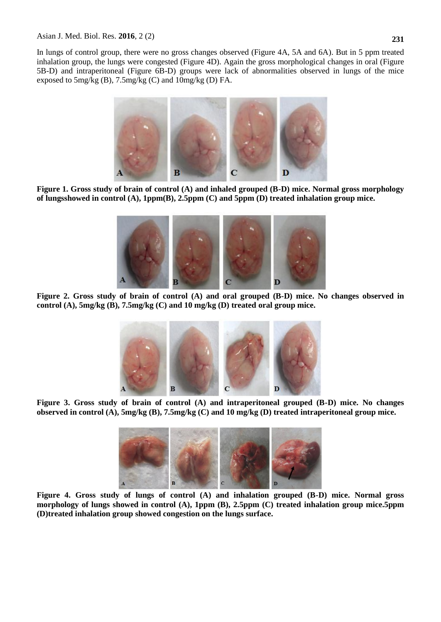In lungs of control group, there were no gross changes observed (Figure 4A, 5A and 6A). But in 5 ppm treated inhalation group, the lungs were congested (Figure 4D). Again the gross morphological changes in oral (Figure 5B-D) and intraperitoneal (Figure 6B-D) groups were lack of abnormalities observed in lungs of the mice exposed to 5mg/kg (B), 7.5mg/kg (C) and 10mg/kg (D) FA.



**Figure 1. Gross study of brain of control (A) and inhaled grouped (B-D) mice. Normal gross morphology of lungsshowed in control (A), 1ppm(B), 2.5ppm (C) and 5ppm (D) treated inhalation group mice.**



**Figure 2. Gross study of brain of control (A) and oral grouped (B-D) mice. No changes observed in control (A), 5mg/kg (B), 7.5mg/kg (C) and 10 mg/kg (D) treated oral group mice.**



**Figure 3. Gross study of brain of control (A) and intraperitoneal grouped (B-D) mice. No changes observed in control (A), 5mg/kg (B), 7.5mg/kg (C) and 10 mg/kg (D) treated intraperitoneal group mice.**



**Figure 4. Gross study of lungs of control (A) and inhalation grouped (B-D) mice. Normal gross morphology of lungs showed in control (A), 1ppm (B), 2.5ppm (C) treated inhalation group mice.5ppm (D)treated inhalation group showed congestion on the lungs surface.**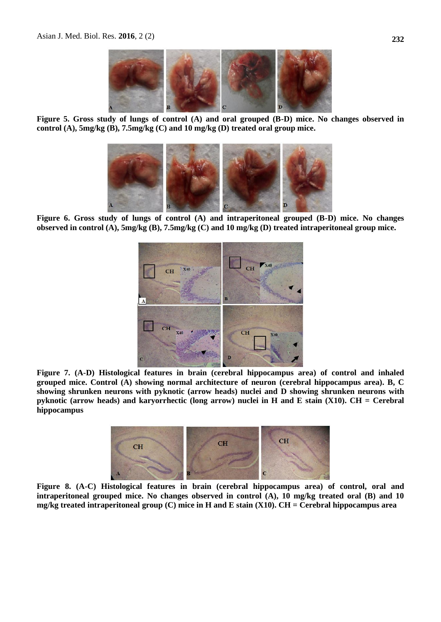

**Figure 5. Gross study of lungs of control (A) and oral grouped (B-D) mice. No changes observed in control (A), 5mg/kg (B), 7.5mg/kg (C) and 10 mg/kg (D) treated oral group mice.**



**Figure 6. Gross study of lungs of control (A) and intraperitoneal grouped (B-D) mice. No changes observed in control (A), 5mg/kg (B), 7.5mg/kg (C) and 10 mg/kg (D) treated intraperitoneal group mice.**



**Figure 7. (A-D) Histological features in brain (cerebral hippocampus area) of control and inhaled grouped mice. Control (A) showing normal architecture of neuron (cerebral hippocampus area). B, C showing shrunken neurons with pyknotic (arrow heads) nuclei and D showing shrunken neurons with pyknotic (arrow heads) and karyorrhectic (long arrow) nuclei in H and E stain (X10). CH = Cerebral hippocampus**



**Figure 8. (A-C) Histological features in brain (cerebral hippocampus area) of control, oral and intraperitoneal grouped mice. No changes observed in control (A), 10 mg/kg treated oral (B) and 10 mg/kg treated intraperitoneal group (C) mice in H and E stain (X10). CH = Cerebral hippocampus area**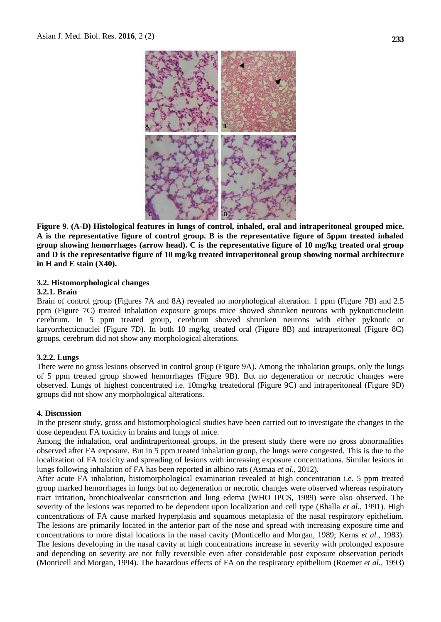

**Figure 9. (A-D) Histological features in lungs of control, inhaled, oral and intraperitoneal grouped mice. A is the representative figure of control group. B is the representative figure of 5ppm treated inhaled group showing hemorrhages (arrow head). C is the representative figure of 10 mg/kg treated oral group and D is the representative figure of 10 mg/kg treated intraperitoneal group showing normal architecture in H and E stain (X40).**

#### **3.2. Histomorphological changes**

#### **3.2.1. Brain**

Brain of control group (Figures 7A and 8A) revealed no morphological alteration. 1 ppm (Figure 7B) and 2.5 ppm (Figure 7C) treated inhalation exposure groups mice showed shrunken neurons with pyknoticnucleiin cerebrum. In 5 ppm treated group, cerebrum showed shrunken neurons with either pyknotic or karyorrhecticnuclei (Figure 7D). In both 10 mg/kg treated oral (Figure 8B) and intraperitoneal (Figure 8C) groups, cerebrum did not show any morphological alterations.

## **3.2.2. Lungs**

There were no gross lesions observed in control group (Figure 9A). Among the inhalation groups, only the lungs of 5 ppm treated group showed hemorrhages (Figure 9B). But no degeneration or necrotic changes were observed. Lungs of highest concentrated i.e. 10mg/kg treatedoral (Figure 9C) and intraperitoneal (Figure 9D) groups did not show any morphological alterations.

#### **4. Discussion**

In the present study, gross and histomorphological studies have been carried out to investigate the changes in the dose dependent FA toxicity in brains and lungs of mice.

Among the inhalation, oral andintraperitoneal groups, in the present study there were no gross abnormalities observed after FA exposure. But in 5 ppm treated inhalation group, the lungs were congested. This is due to the localization of FA toxicity and spreading of lesions with increasing exposure concentrations. Similar lesions in lungs following inhalation of FA has been reported in albino rats (Asmaa *et al.*, 2012).

After acute FA inhalation, histomorphological examination revealed at high concentration i.e. 5 ppm treated group marked hemorrhages in lungs but no degeneration or necrotic changes were observed whereas respiratory tract irritation, bronchioalveolar constriction and lung edema (WHO IPCS, 1989) were also observed. The severity of the lesions was reported to be dependent upon localization and cell type (Bhalla *et al.,* 1991). High concentrations of FA cause marked hyperplasia and squamous metaplasia of the nasal respiratory epithelium. The lesions are primarily located in the anterior part of the nose and spread with increasing exposure time and concentrations to more distal locations in the nasal cavity (Monticello and Morgan, 1989; Kerns *et al.,* 1983). The lesions developing in the nasal cavity at high concentrations increase in severity with prolonged exposure and depending on severity are not fully reversible even after considerable post exposure observation periods (Monticell and Morgan, 1994). The hazardous effects of FA on the respiratory epithelium (Roemer *et al.,* 1993)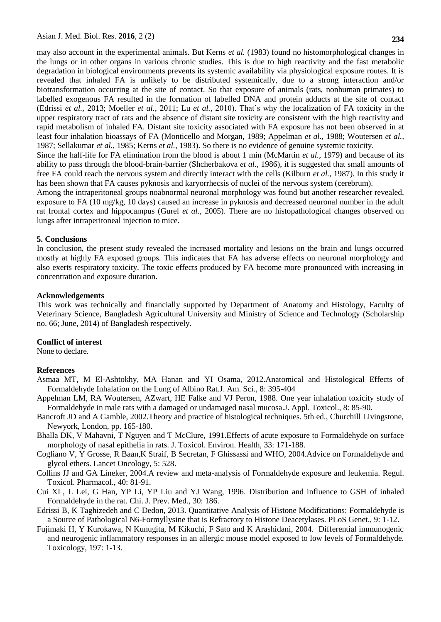may also account in the experimental animals. But Kerns *et al.* (1983) found no histomorphological changes in the lungs or in other organs in various chronic studies. This is due to high reactivity and the fast metabolic degradation in biological environments prevents its systemic availability via physiological exposure routes. It is revealed that inhaled FA is unlikely to be distributed systemically, due to a strong interaction and/or biotransformation occurring at the site of contact. So that exposure of animals (rats, nonhuman primates) to labelled exogenous FA resulted in the formation of labelled DNA and protein adducts at the site of contact (Edrissi *et al.,* 2013; Moeller *et al.,* 2011; Lu *et al.,* 2010). That's why the localization of FA toxicity in the upper respiratory tract of rats and the absence of distant site toxicity are consistent with the high reactivity and rapid metabolism of inhaled FA. Distant site toxicity associated with FA exposure has not been observed in at least four inhalation bioassays of FA (Monticello and Morgan, 1989; Appelman *et al.,* 1988; Woutersen *et al.,*  1987; Sellakumar *et al.,* 1985; Kerns *et al.,* 1983). So there is no evidence of genuine systemic toxicity.

Since the half-life for FA elimination from the blood is about 1 min (McMartin *et al.,* 1979) and because of its ability to pass through the blood-brain-barrier (Shcherbakova *et al.,* 1986), it is suggested that small amounts of free FA could reach the nervous system and directly interact with the cells (Kilburn *et al.,* 1987). In this study it has been shown that FA causes pyknosis and karyorrhecsis of nuclei of the nervous system (cerebrum).

Among the intraperitoneal groups noabnormal neuronal morphology was found but another researcher revealed, exposure to FA (10 mg/kg, 10 days) caused an increase in pyknosis and decreased neuronal number in the adult rat frontal cortex and hippocampus (Gurel *et al.,* 2005). There are no histopathological changes observed on lungs after intraperitoneal injection to mice.

## **5. Conclusions**

In conclusion, the present study revealed the increased mortality and lesions on the brain and lungs occurred mostly at highly FA exposed groups. This indicates that FA has adverse effects on neuronal morphology and also exerts respiratory toxicity. The toxic effects produced by FA become more pronounced with increasing in concentration and exposure duration.

#### **Acknowledgements**

This work was technically and financially supported by Department of Anatomy and Histology, Faculty of Veterinary Science, Bangladesh Agricultural University and Ministry of Science and Technology (Scholarship no. 66; June, 2014) of Bangladesh respectively.

#### **Conflict of interest**

None to declare.

#### **References**

- Asmaa MT, M El-Ashtokhy, MA Hanan and YI Osama, 2012.Anatomical and Histological Effects of Formaldehyde Inhalation on the Lung of Albino Rat.J. Am. Sci., 8: 395-404
- Appelman LM, RA Woutersen, AZwart, HE Falke and VJ Peron, 1988. One year inhalation toxicity study of Formaldehyde in male rats with a damaged or undamaged nasal mucosa.J. Appl. Toxicol., 8: 85-90.
- Bancroft JD and A Gamble, 2002.Theory and practice of histological techniques. 5th ed., Churchill Livingstone, Newyork, London, pp. 165-180.
- Bhalla DK, V Mahavni, T Nguyen and T McClure, 1991.Effects of acute exposure to Formaldehyde on surface morphology of nasal epithelia in rats. J. Toxicol. Environ. Health, 33: 171-188.
- Cogliano V, Y Grosse, R Baan,K Straif, B Secretan, F Ghissassi and WHO, 2004.Advice on Formaldehyde and glycol ethers. Lancet Oncology, 5: 528.
- Collins JJ and GA Lineker, 2004.A review and meta-analysis of Formaldehyde exposure and leukemia. Regul. Toxicol. Pharmacol., 40: 81-91.
- Cui XL, L Lei, G Han, YP Li, YP Liu and YJ Wang, 1996. Distribution and influence to GSH of inhaled Formaldehyde in the rat. [Chi. J. Prev. Med.](http://www.speciation.net/Database/Journals/Chinese-Journal-of-Preventive-Medicine-;i790), 30: 186.
- Edrissi B, K Taghizedeh and C Dedon, 2013. Quantitative Analysis of Histone Modifications: Formaldehyde is a Source of Pathological N6-Formyllysine that is Refractory to Histone Deacetylases. PLoS Genet., 9: 1-12.
- Fujimaki H, Y Kurokawa, N Kunugita, M Kikuchi, F Sato and K Arashidani, 2004. Differential immunogenic and neurogenic inflammatory responses in an allergic mouse model exposed to low levels of Formaldehyde. Toxicology, 197: 1-13.